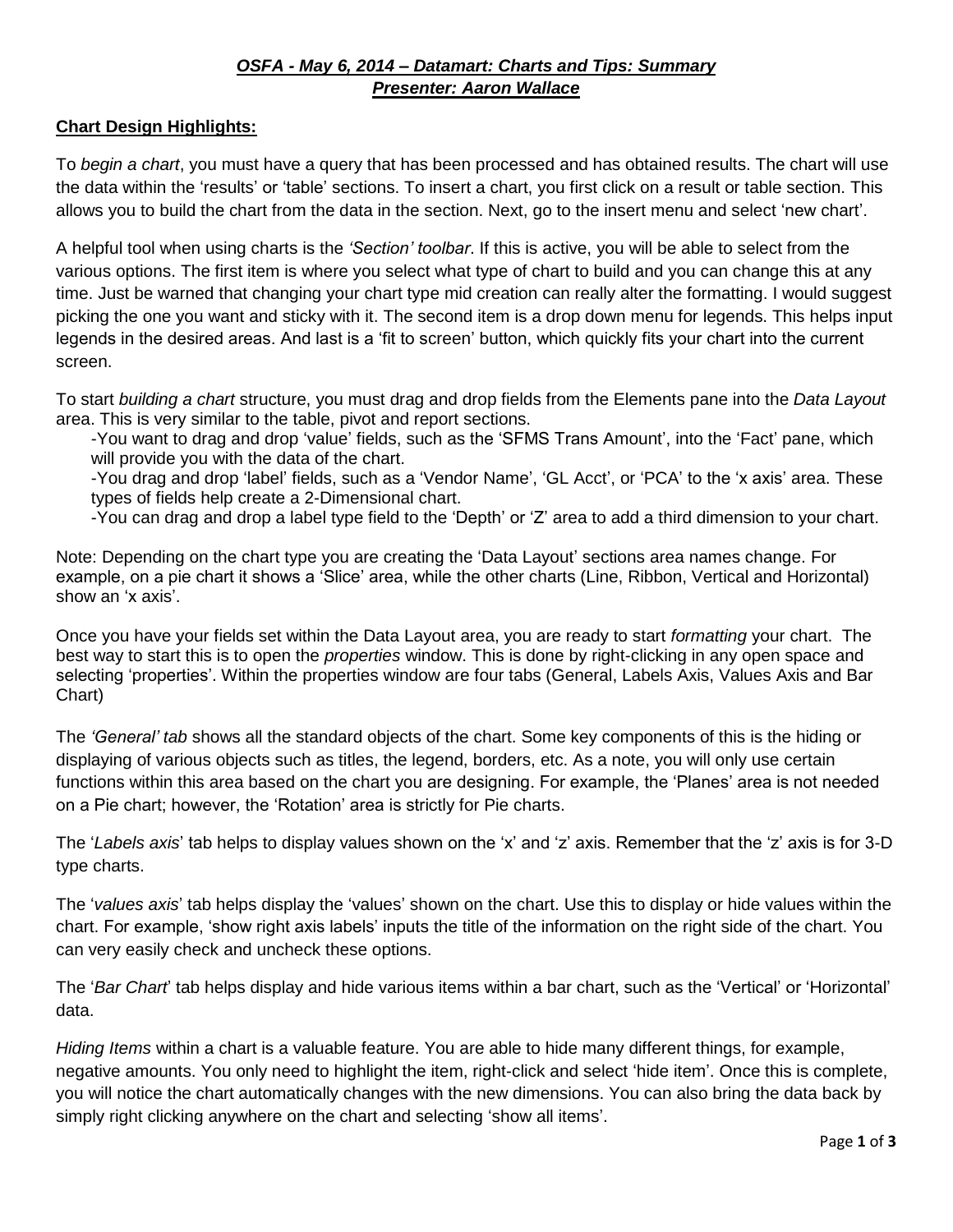## *OSFA - May 6, 2014 – Datamart: Charts and Tips: Summary Presenter: Aaron Wallace*

## **Chart Design Highlights:**

To *begin a chart*, you must have a query that has been processed and has obtained results. The chart will use the data within the 'results' or 'table' sections. To insert a chart, you first click on a result or table section. This allows you to build the chart from the data in the section. Next, go to the insert menu and select 'new chart'.

A helpful tool when using charts is the *'Section' toolbar*. If this is active, you will be able to select from the various options. The first item is where you select what type of chart to build and you can change this at any time. Just be warned that changing your chart type mid creation can really alter the formatting. I would suggest picking the one you want and sticky with it. The second item is a drop down menu for legends. This helps input legends in the desired areas. And last is a 'fit to screen' button, which quickly fits your chart into the current screen.

To start *building a chart* structure, you must drag and drop fields from the Elements pane into the *Data Layout* area. This is very similar to the table, pivot and report sections.

-You want to drag and drop 'value' fields, such as the 'SFMS Trans Amount', into the 'Fact' pane, which will provide you with the data of the chart.

-You drag and drop 'label' fields, such as a 'Vendor Name', 'GL Acct', or 'PCA' to the 'x axis' area. These types of fields help create a 2-Dimensional chart.

-You can drag and drop a label type field to the 'Depth' or 'Z' area to add a third dimension to your chart.

Note: Depending on the chart type you are creating the 'Data Layout' sections area names change. For example, on a pie chart it shows a 'Slice' area, while the other charts (Line, Ribbon, Vertical and Horizontal) show an 'x axis'.

Once you have your fields set within the Data Layout area, you are ready to start *formatting* your chart. The best way to start this is to open the *properties* window. This is done by right-clicking in any open space and selecting 'properties'. Within the properties window are four tabs (General, Labels Axis, Values Axis and Bar Chart)

The *'General' tab* shows all the standard objects of the chart. Some key components of this is the hiding or displaying of various objects such as titles, the legend, borders, etc. As a note, you will only use certain functions within this area based on the chart you are designing. For example, the 'Planes' area is not needed on a Pie chart; however, the 'Rotation' area is strictly for Pie charts.

The '*Labels axis*' tab helps to display values shown on the 'x' and 'z' axis. Remember that the 'z' axis is for 3-D type charts.

The '*values axis*' tab helps display the 'values' shown on the chart. Use this to display or hide values within the chart. For example, 'show right axis labels' inputs the title of the information on the right side of the chart. You can very easily check and uncheck these options.

The '*Bar Chart*' tab helps display and hide various items within a bar chart, such as the 'Vertical' or 'Horizontal' data.

*Hiding Items* within a chart is a valuable feature. You are able to hide many different things, for example, negative amounts. You only need to highlight the item, right-click and select 'hide item'. Once this is complete, you will notice the chart automatically changes with the new dimensions. You can also bring the data back by simply right clicking anywhere on the chart and selecting 'show all items'.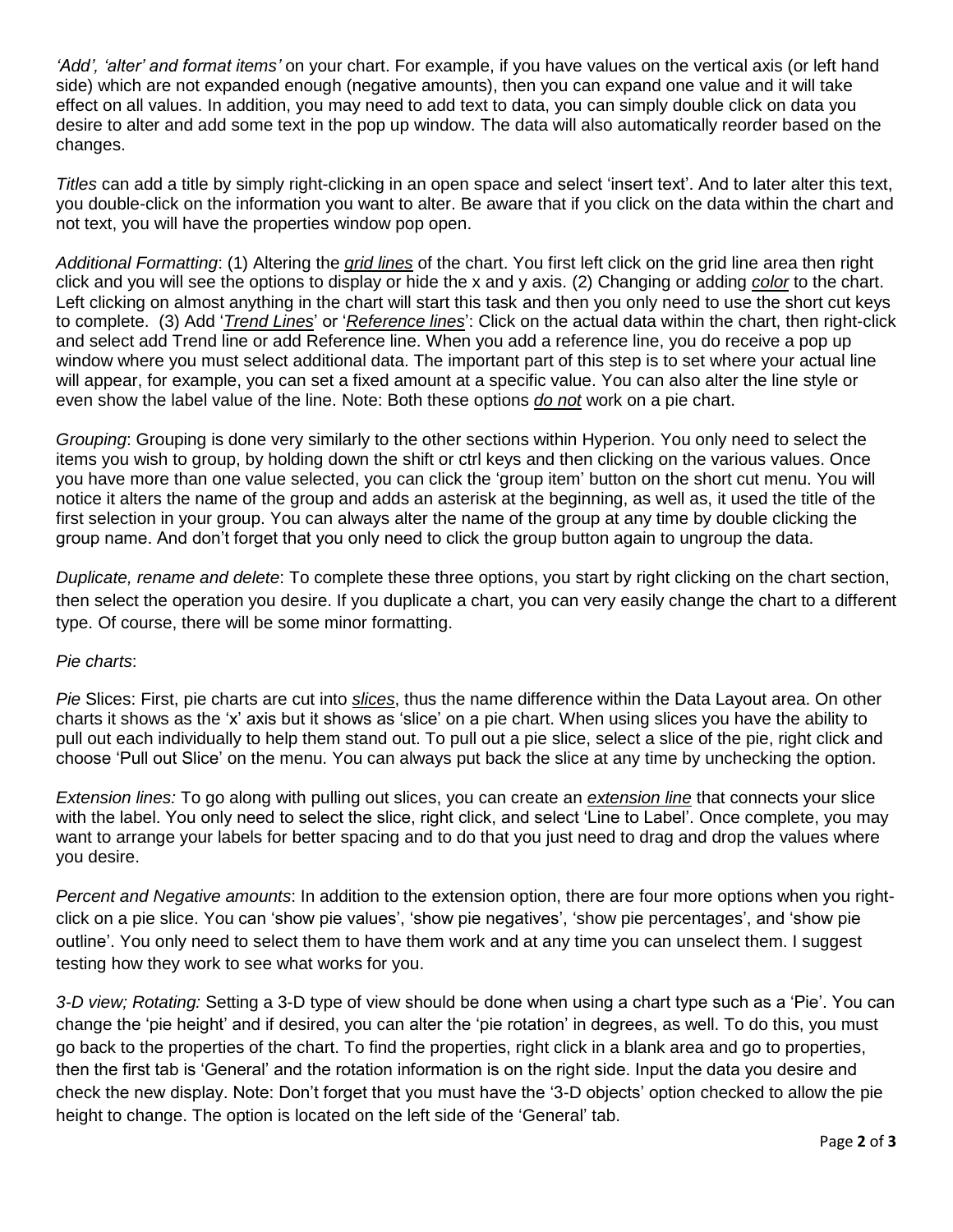*'Add', 'alter' and format items'* on your chart. For example, if you have values on the vertical axis (or left hand side) which are not expanded enough (negative amounts), then you can expand one value and it will take effect on all values. In addition, you may need to add text to data, you can simply double click on data you desire to alter and add some text in the pop up window. The data will also automatically reorder based on the changes.

*Titles* can add a title by simply right-clicking in an open space and select 'insert text'. And to later alter this text, you double-click on the information you want to alter. Be aware that if you click on the data within the chart and not text, you will have the properties window pop open.

*Additional Formatting*: (1) Altering the *grid lines* of the chart. You first left click on the grid line area then right click and you will see the options to display or hide the x and y axis. (2) Changing or adding *color* to the chart. Left clicking on almost anything in the chart will start this task and then you only need to use the short cut keys to complete. (3) Add '*Trend Lines*' or '*Reference lines*': Click on the actual data within the chart, then right-click and select add Trend line or add Reference line. When you add a reference line, you do receive a pop up window where you must select additional data. The important part of this step is to set where your actual line will appear, for example, you can set a fixed amount at a specific value. You can also alter the line style or even show the label value of the line. Note: Both these options *do not* work on a pie chart.

*Grouping*: Grouping is done very similarly to the other sections within Hyperion. You only need to select the items you wish to group, by holding down the shift or ctrl keys and then clicking on the various values. Once you have more than one value selected, you can click the 'group item' button on the short cut menu. You will notice it alters the name of the group and adds an asterisk at the beginning, as well as, it used the title of the first selection in your group. You can always alter the name of the group at any time by double clicking the group name. And don't forget that you only need to click the group button again to ungroup the data.

*Duplicate, rename and delete*: To complete these three options, you start by right clicking on the chart section, then select the operation you desire. If you duplicate a chart, you can very easily change the chart to a different type. Of course, there will be some minor formatting.

## *Pie charts*:

*Pie* Slices: First, pie charts are cut into *slices*, thus the name difference within the Data Layout area. On other charts it shows as the 'x' axis but it shows as 'slice' on a pie chart. When using slices you have the ability to pull out each individually to help them stand out. To pull out a pie slice, select a slice of the pie, right click and choose 'Pull out Slice' on the menu. You can always put back the slice at any time by unchecking the option.

*Extension lines:* To go along with pulling out slices, you can create an *extension line* that connects your slice with the label. You only need to select the slice, right click, and select 'Line to Label'. Once complete, you may want to arrange your labels for better spacing and to do that you just need to drag and drop the values where you desire.

*Percent and Negative amounts*: In addition to the extension option, there are four more options when you rightclick on a pie slice. You can 'show pie values', 'show pie negatives', 'show pie percentages', and 'show pie outline'. You only need to select them to have them work and at any time you can unselect them. I suggest testing how they work to see what works for you.

*3-D view; Rotating:* Setting a 3-D type of view should be done when using a chart type such as a 'Pie'. You can change the 'pie height' and if desired, you can alter the 'pie rotation' in degrees, as well. To do this, you must go back to the properties of the chart. To find the properties, right click in a blank area and go to properties, then the first tab is 'General' and the rotation information is on the right side. Input the data you desire and check the new display. Note: Don't forget that you must have the '3-D objects' option checked to allow the pie height to change. The option is located on the left side of the 'General' tab.